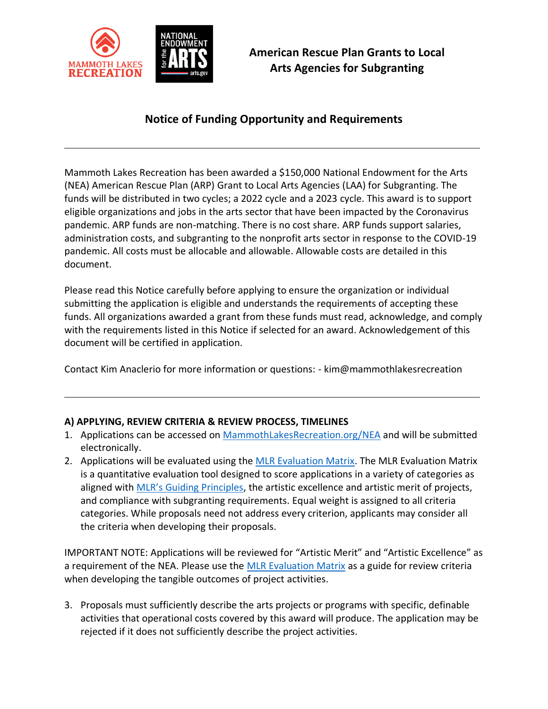

# **Notice of Funding Opportunity and Requirements**

Mammoth Lakes Recreation has been awarded a \$150,000 National Endowment for the Arts (NEA) American Rescue Plan (ARP) Grant to Local Arts Agencies (LAA) for Subgranting. The funds will be distributed in two cycles; a 2022 cycle and a 2023 cycle. This award is to support eligible organizations and jobs in the arts sector that have been impacted by the Coronavirus pandemic. ARP funds are non-matching. There is no cost share. ARP funds support salaries, administration costs, and subgranting to the nonprofit arts sector in response to the COVID-19 pandemic. All costs must be allocable and allowable. Allowable costs are detailed in this document.

Please read this Notice carefully before applying to ensure the organization or individual submitting the application is eligible and understands the requirements of accepting these funds. All organizations awarded a grant from these funds must read, acknowledge, and comply with the requirements listed in this Notice if selected for an award. Acknowledgement of this document will be certified in application.

Contact Kim Anaclerio for more information or questions: - kim@mammothlakesrecreation

# **A) APPLYING, REVIEW CRITERIA & REVIEW PROCESS, TIMELINES**

- 1. Applications can be accessed on [MammothLakesRecreation.org/NEA](https://mammothlakesrecreation.org/nea/) and will be submitted electronically.
- 2. Applications will be evaluated using the [MLR Evaluation Matrix.](https://mammothlakesrecreation.org/wp-content/uploads/2022/02/A_REVIEW-CRITERIA-Evaluation-Filter-210131.xlsx) The MLR Evaluation Matrix is a quantitative evaluation tool designed to score applications in a variety of categories as aligned with [MLR's Guiding Principles](https://mammothlakesrecreation.org/who-we-are/), the artistic excellence and artistic merit of projects, and compliance with subgranting requirements. Equal weight is assigned to all criteria categories. While proposals need not address every criterion, applicants may consider all the criteria when developing their proposals.

IMPORTANT NOTE: Applications will be reviewed for "Artistic Merit" and "Artistic Excellence" as a requirement of the NEA. Please use the [MLR Evaluation Matrix](https://mammothlakesrecreation.org/wp-content/uploads/2022/02/A_REVIEW-CRITERIA-Evaluation-Filter-210131.xlsx) as a guide for review criteria when developing the tangible outcomes of project activities.

3. Proposals must sufficiently describe the arts projects or programs with specific, definable activities that operational costs covered by this award will produce. The application may be rejected if it does not sufficiently describe the project activities.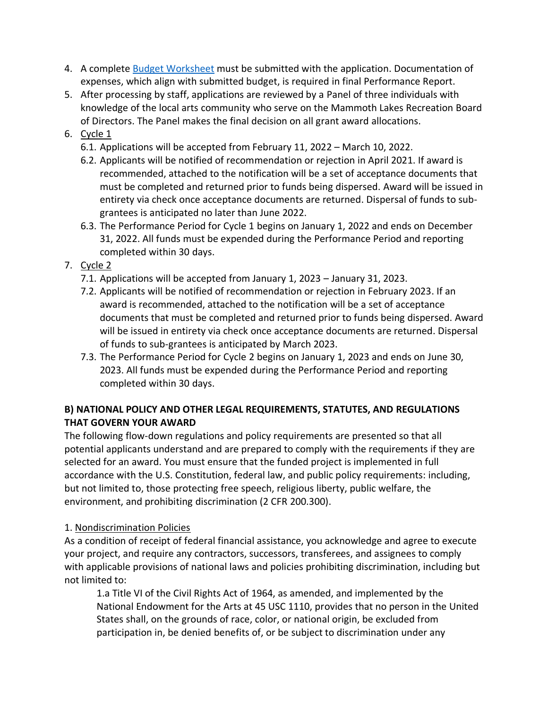- 4. A complete Budget [Worksheet](https://mammothlakesrecreation.org/wp-content/uploads/2022/02/B_CFA-Grant-Budget.xlsx) must be submitted with the application. Documentation of expenses, which align with submitted budget, is required in final Performance Report.
- 5. After processing by staff, applications are reviewed by a Panel of three individuals with knowledge of the local arts community who serve on the Mammoth Lakes Recreation Board of Directors. The Panel makes the final decision on all grant award allocations.
- 6. Cycle 1
	- 6.1. Applications will be accepted from February 11, 2022 March 10, 2022.
	- 6.2. Applicants will be notified of recommendation or rejection in April 2021. If award is recommended, attached to the notification will be a set of acceptance documents that must be completed and returned prior to funds being dispersed. Award will be issued in entirety via check once acceptance documents are returned. Dispersal of funds to subgrantees is anticipated no later than June 2022.
	- 6.3. The Performance Period for Cycle 1 begins on January 1, 2022 and ends on December 31, 2022. All funds must be expended during the Performance Period and reporting completed within 30 days.
- 7. Cycle 2
	- 7.1. Applications will be accepted from January 1, 2023 January 31, 2023.
	- 7.2. Applicants will be notified of recommendation or rejection in February 2023. If an award is recommended, attached to the notification will be a set of acceptance documents that must be completed and returned prior to funds being dispersed. Award will be issued in entirety via check once acceptance documents are returned. Dispersal of funds to sub-grantees is anticipated by March 2023.
	- 7.3. The Performance Period for Cycle 2 begins on January 1, 2023 and ends on June 30, 2023. All funds must be expended during the Performance Period and reporting completed within 30 days.

# **B) NATIONAL POLICY AND OTHER LEGAL REQUIREMENTS, STATUTES, AND REGULATIONS THAT GOVERN YOUR AWARD**

The following flow-down regulations and policy requirements are presented so that all potential applicants understand and are prepared to comply with the requirements if they are selected for an award. You must ensure that the funded project is implemented in full accordance with the U.S. Constitution, federal law, and public policy requirements: including, but not limited to, those protecting free speech, religious liberty, public welfare, the environment, and prohibiting discrimination (2 CFR 200.300).

# 1. Nondiscrimination Policies

As a condition of receipt of federal financial assistance, you acknowledge and agree to execute your project, and require any contractors, successors, transferees, and assignees to comply with applicable provisions of national laws and policies prohibiting discrimination, including but not limited to:

1.a Title VI of the Civil Rights Act of 1964, as amended, and implemented by the National Endowment for the Arts at 45 USC 1110, provides that no person in the United States shall, on the grounds of race, color, or national origin, be excluded from participation in, be denied benefits of, or be subject to discrimination under any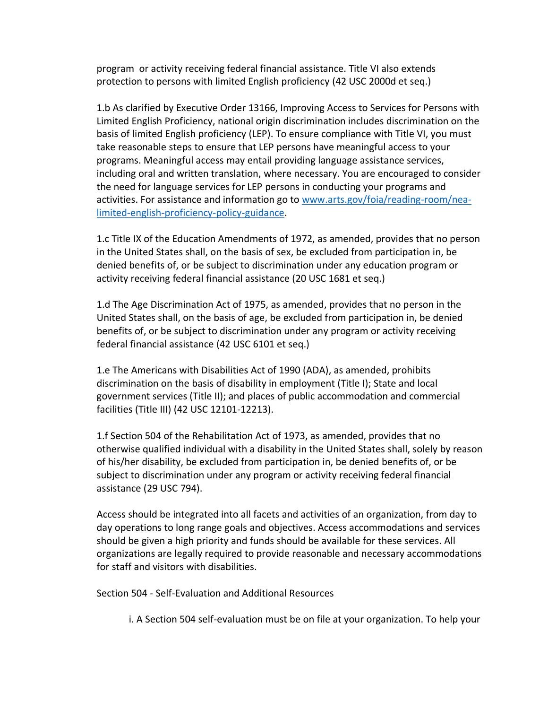program or activity receiving federal financial assistance. Title VI also extends protection to persons with limited English proficiency (42 USC 2000d et seq.)

1.b As clarified by Executive Order 13166, Improving Access to Services for Persons with Limited English Proficiency, national origin discrimination includes discrimination on the basis of limited English proficiency (LEP). To ensure compliance with Title VI, you must take reasonable steps to ensure that LEP persons have meaningful access to your programs. Meaningful access may entail providing language assistance services, including oral and written translation, where necessary. You are encouraged to consider the need for language services for LEP persons in conducting your programs and activities. For assistance and information go to [www.arts.gov/foia/reading-room/nea](http://www.arts.gov/foia/reading-room/nea-limited-english-proficiency-policy-guidance)[limited-english-proficiency-policy-guidance.](http://www.arts.gov/foia/reading-room/nea-limited-english-proficiency-policy-guidance)

1.c Title IX of the Education Amendments of 1972, as amended, provides that no person in the United States shall, on the basis of sex, be excluded from participation in, be denied benefits of, or be subject to discrimination under any education program or activity receiving federal financial assistance (20 USC 1681 et seq.)

1.d The Age Discrimination Act of 1975, as amended, provides that no person in the United States shall, on the basis of age, be excluded from participation in, be denied benefits of, or be subject to discrimination under any program or activity receiving federal financial assistance (42 USC 6101 et seq.)

1.e The Americans with Disabilities Act of 1990 (ADA), as amended, prohibits discrimination on the basis of disability in employment (Title I); State and local government services (Title II); and places of public accommodation and commercial facilities (Title III) (42 USC 12101-12213).

1.f Section 504 of the Rehabilitation Act of 1973, as amended, provides that no otherwise qualified individual with a disability in the United States shall, solely by reason of his/her disability, be excluded from participation in, be denied benefits of, or be subject to discrimination under any program or activity receiving federal financial assistance (29 USC 794).

Access should be integrated into all facets and activities of an organization, from day to day operations to long range goals and objectives. Access accommodations and services should be given a high priority and funds should be available for these services. All organizations are legally required to provide reasonable and necessary accommodations for staff and visitors with disabilities.

Section 504 - Self-Evaluation and Additional Resources

i. A Section 504 self-evaluation must be on file at your organization. To help your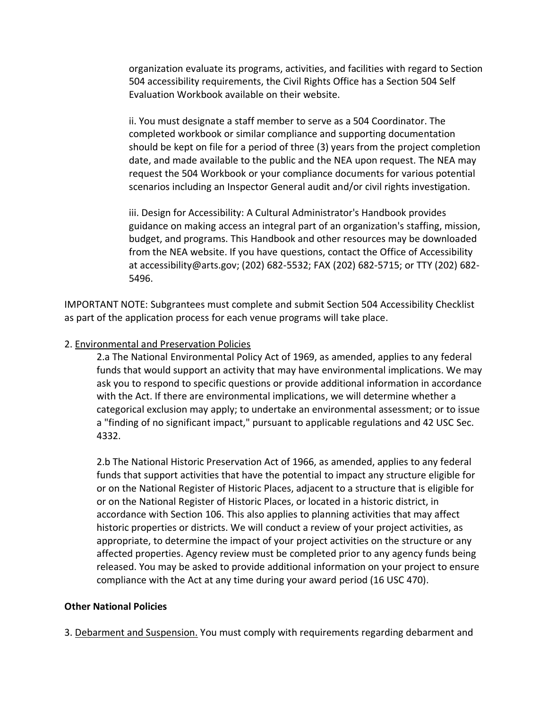organization evaluate its programs, activities, and facilities with regard to Section 504 accessibility requirements, the Civil Rights Office has a Section 504 Self Evaluation Workbook available on their website.

ii. You must designate a staff member to serve as a 504 Coordinator. The completed workbook or similar compliance and supporting documentation should be kept on file for a period of three (3) years from the project completion date, and made available to the public and the NEA upon request. The NEA may request the 504 Workbook or your compliance documents for various potential scenarios including an Inspector General audit and/or civil rights investigation.

iii. Design for Accessibility: A Cultural Administrator's Handbook provides guidance on making access an integral part of an organization's staffing, mission, budget, and programs. This Handbook and other resources may be downloaded from the NEA website. If you have questions, contact the Office of Accessibility at accessibility@arts.gov; (202) 682-5532; FAX (202) 682-5715; or TTY (202) 682- 5496.

IMPORTANT NOTE: Subgrantees must complete and submit Section 504 Accessibility Checklist as part of the application process for each venue programs will take place.

#### 2. Environmental and Preservation Policies

2.a The National Environmental Policy Act of 1969, as amended, applies to any federal funds that would support an activity that may have environmental implications. We may ask you to respond to specific questions or provide additional information in accordance with the Act. If there are environmental implications, we will determine whether a categorical exclusion may apply; to undertake an environmental assessment; or to issue a "finding of no significant impact," pursuant to applicable regulations and 42 USC Sec. 4332.

2.b The National Historic Preservation Act of 1966, as amended, applies to any federal funds that support activities that have the potential to impact any structure eligible for or on the National Register of Historic Places, adjacent to a structure that is eligible for or on the National Register of Historic Places, or located in a historic district, in accordance with Section 106. This also applies to planning activities that may affect historic properties or districts. We will conduct a review of your project activities, as appropriate, to determine the impact of your project activities on the structure or any affected properties. Agency review must be completed prior to any agency funds being released. You may be asked to provide additional information on your project to ensure compliance with the Act at any time during your award period (16 USC 470).

#### **Other National Policies**

3. Debarment and Suspension. You must comply with requirements regarding debarment and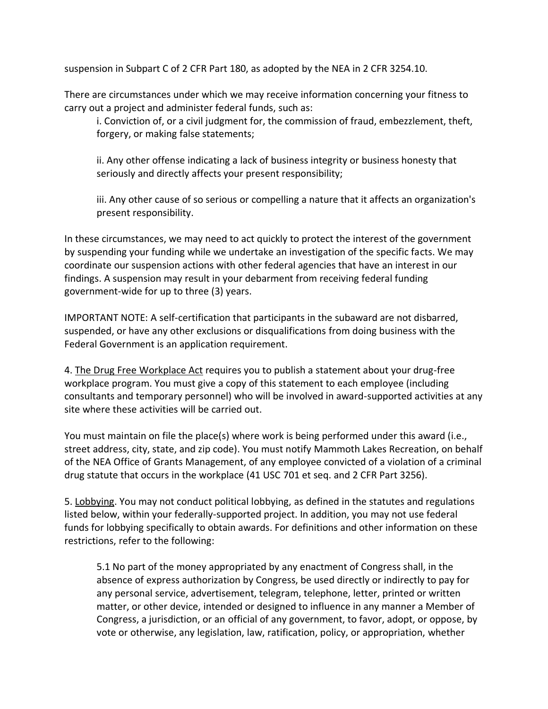suspension in Subpart C of 2 CFR Part 180, as adopted by the NEA in 2 CFR 3254.10.

There are circumstances under which we may receive information concerning your fitness to carry out a project and administer federal funds, such as:

i. Conviction of, or a civil judgment for, the commission of fraud, embezzlement, theft, forgery, or making false statements;

ii. Any other offense indicating a lack of business integrity or business honesty that seriously and directly affects your present responsibility;

iii. Any other cause of so serious or compelling a nature that it affects an organization's present responsibility.

In these circumstances, we may need to act quickly to protect the interest of the government by suspending your funding while we undertake an investigation of the specific facts. We may coordinate our suspension actions with other federal agencies that have an interest in our findings. A suspension may result in your debarment from receiving federal funding government-wide for up to three (3) years.

IMPORTANT NOTE: A self-certification that participants in the subaward are not disbarred, suspended, or have any other exclusions or disqualifications from doing business with the Federal Government is an application requirement.

4. The Drug Free Workplace Act requires you to publish a statement about your drug-free workplace program. You must give a copy of this statement to each employee (including consultants and temporary personnel) who will be involved in award-supported activities at any site where these activities will be carried out.

You must maintain on file the place(s) where work is being performed under this award (i.e., street address, city, state, and zip code). You must notify Mammoth Lakes Recreation, on behalf of the NEA Office of Grants Management, of any employee convicted of a violation of a criminal drug statute that occurs in the workplace (41 USC 701 et seq. and 2 CFR Part 3256).

5. Lobbying. You may not conduct political lobbying, as defined in the statutes and regulations listed below, within your federally-supported project. In addition, you may not use federal funds for lobbying specifically to obtain awards. For definitions and other information on these restrictions, refer to the following:

5.1 No part of the money appropriated by any enactment of Congress shall, in the absence of express authorization by Congress, be used directly or indirectly to pay for any personal service, advertisement, telegram, telephone, letter, printed or written matter, or other device, intended or designed to influence in any manner a Member of Congress, a jurisdiction, or an official of any government, to favor, adopt, or oppose, by vote or otherwise, any legislation, law, ratification, policy, or appropriation, whether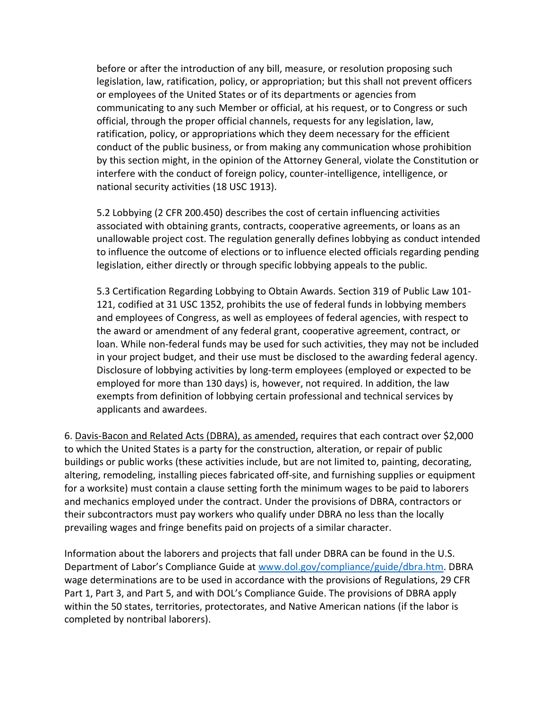before or after the introduction of any bill, measure, or resolution proposing such legislation, law, ratification, policy, or appropriation; but this shall not prevent officers or employees of the United States or of its departments or agencies from communicating to any such Member or official, at his request, or to Congress or such official, through the proper official channels, requests for any legislation, law, ratification, policy, or appropriations which they deem necessary for the efficient conduct of the public business, or from making any communication whose prohibition by this section might, in the opinion of the Attorney General, violate the Constitution or interfere with the conduct of foreign policy, counter-intelligence, intelligence, or national security activities (18 USC 1913).

5.2 Lobbying (2 CFR 200.450) describes the cost of certain influencing activities associated with obtaining grants, contracts, cooperative agreements, or loans as an unallowable project cost. The regulation generally defines lobbying as conduct intended to influence the outcome of elections or to influence elected officials regarding pending legislation, either directly or through specific lobbying appeals to the public.

5.3 Certification Regarding Lobbying to Obtain Awards. Section 319 of Public Law 101- 121, codified at 31 USC 1352, prohibits the use of federal funds in lobbying members and employees of Congress, as well as employees of federal agencies, with respect to the award or amendment of any federal grant, cooperative agreement, contract, or loan. While non-federal funds may be used for such activities, they may not be included in your project budget, and their use must be disclosed to the awarding federal agency. Disclosure of lobbying activities by long-term employees (employed or expected to be employed for more than 130 days) is, however, not required. In addition, the law exempts from definition of lobbying certain professional and technical services by applicants and awardees.

6. Davis-Bacon and Related Acts (DBRA), as amended, requires that each contract over \$2,000 to which the United States is a party for the construction, alteration, or repair of public buildings or public works (these activities include, but are not limited to, painting, decorating, altering, remodeling, installing pieces fabricated off-site, and furnishing supplies or equipment for a worksite) must contain a clause setting forth the minimum wages to be paid to laborers and mechanics employed under the contract. Under the provisions of DBRA, contractors or their subcontractors must pay workers who qualify under DBRA no less than the locally prevailing wages and fringe benefits paid on projects of a similar character.

Information about the laborers and projects that fall under DBRA can be found in the U.S. Department of Labor's Compliance Guide at [www.dol.gov/compliance/guide/dbra.htm.](http://www.dol.gov/compliance/guide/dbra.htm) DBRA wage determinations are to be used in accordance with the provisions of Regulations, 29 CFR Part 1, Part 3, and Part 5, and with DOL's Compliance Guide. The provisions of DBRA apply within the 50 states, territories, protectorates, and Native American nations (if the labor is completed by nontribal laborers).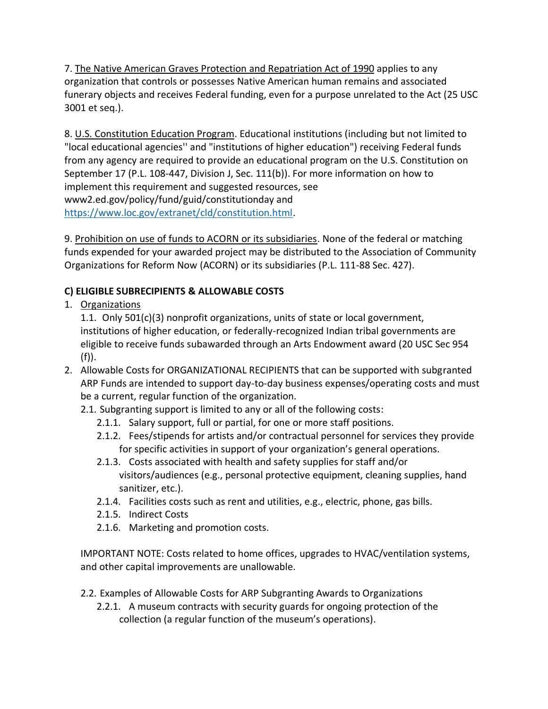7. The Native American Graves Protection and Repatriation Act of 1990 applies to any organization that controls or possesses Native American human remains and associated funerary objects and receives Federal funding, even for a purpose unrelated to the Act (25 USC 3001 et seq.).

8. U.S. Constitution Education Program. Educational institutions (including but not limited to "local educational agencies'' and "institutions of higher education") receiving Federal funds from any agency are required to provide an educational program on the U.S. Constitution on September 17 (P.L. 108-447, Division J, Sec. 111(b)). For more information on how to implement this requirement and suggested resources, see www2.ed.gov/policy/fund/guid/constitutionday and [https://www.loc.gov/extranet/cld/constitution.html.](https://www.loc.gov/extranet/cld/constitution.html)

9. Prohibition on use of funds to ACORN or its subsidiaries. None of the federal or matching funds expended for your awarded project may be distributed to the Association of Community Organizations for Reform Now (ACORN) or its subsidiaries (P.L. 111-88 Sec. 427).

# **C) ELIGIBLE SUBRECIPIENTS & ALLOWABLE COSTS**

1. Organizations

1.1. Only 501(c)(3) nonprofit organizations, units of state or local government, institutions of higher education, or federally-recognized Indian tribal governments are eligible to receive funds subawarded through an Arts Endowment award (20 USC Sec 954  $(f)$ ).

- 2. Allowable Costs for ORGANIZATIONAL RECIPIENTS that can be supported with subgranted ARP Funds are intended to support day-to-day business expenses/operating costs and must be a current, regular function of the organization.
	- 2.1. Subgranting support is limited to any or all of the following costs:
		- 2.1.1. Salary support, full or partial, for one or more staff positions.
		- 2.1.2. Fees/stipends for artists and/or contractual personnel for services they provide for specific activities in support of your organization's general operations.
		- 2.1.3. Costs associated with health and safety supplies for staff and/or visitors/audiences (e.g., personal protective equipment, cleaning supplies, hand sanitizer, etc.).
		- 2.1.4. Facilities costs such as rent and utilities, e.g., electric, phone, gas bills.
		- 2.1.5. Indirect Costs
		- 2.1.6. Marketing and promotion costs.

IMPORTANT NOTE: Costs related to home offices, upgrades to HVAC/ventilation systems, and other capital improvements are unallowable.

- 2.2. Examples of Allowable Costs for ARP Subgranting Awards to Organizations
	- 2.2.1. A museum contracts with security guards for ongoing protection of the collection (a regular function of the museum's operations).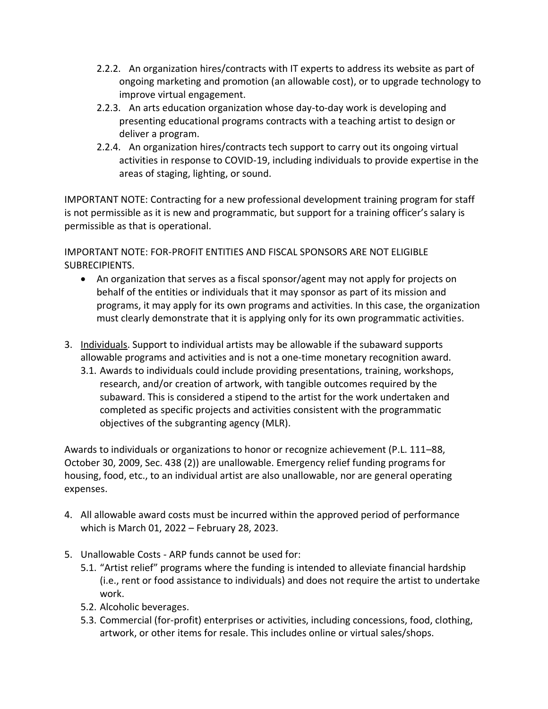- 2.2.2. An organization hires/contracts with IT experts to address its website as part of ongoing marketing and promotion (an allowable cost), or to upgrade technology to improve virtual engagement.
- 2.2.3. An arts education organization whose day-to-day work is developing and presenting educational programs contracts with a teaching artist to design or deliver a program.
- 2.2.4. An organization hires/contracts tech support to carry out its ongoing virtual activities in response to COVID-19, including individuals to provide expertise in the areas of staging, lighting, or sound.

IMPORTANT NOTE: Contracting for a new professional development training program for staff is not permissible as it is new and programmatic, but support for a training officer's salary is permissible as that is operational.

IMPORTANT NOTE: FOR-PROFIT ENTITIES AND FISCAL SPONSORS ARE NOT ELIGIBLE SUBRECIPIENTS.

- An organization that serves as a fiscal sponsor/agent may not apply for projects on behalf of the entities or individuals that it may sponsor as part of its mission and programs, it may apply for its own programs and activities. In this case, the organization must clearly demonstrate that it is applying only for its own programmatic activities.
- 3. Individuals. Support to individual artists may be allowable if the subaward supports allowable programs and activities and is not a one‐time monetary recognition award.
	- 3.1. Awards to individuals could include providing presentations, training, workshops, research, and/or creation of artwork, with tangible outcomes required by the subaward. This is considered a stipend to the artist for the work undertaken and completed as specific projects and activities consistent with the programmatic objectives of the subgranting agency (MLR).

Awards to individuals or organizations to honor or recognize achievement (P.L. 111–88, October 30, 2009, Sec. 438 (2)) are unallowable. Emergency relief funding programs for housing, food, etc., to an individual artist are also unallowable, nor are general operating expenses.

- 4. All allowable award costs must be incurred within the approved period of performance which is March 01, 2022 – February 28, 2023.
- 5. Unallowable Costs ARP funds cannot be used for:
	- 5.1. "Artist relief" programs where the funding is intended to alleviate financial hardship (i.e., rent or food assistance to individuals) and does not require the artist to undertake work.
	- 5.2. Alcoholic beverages.
	- 5.3. Commercial (for-profit) enterprises or activities, including concessions, food, clothing, artwork, or other items for resale. This includes online or virtual sales/shops.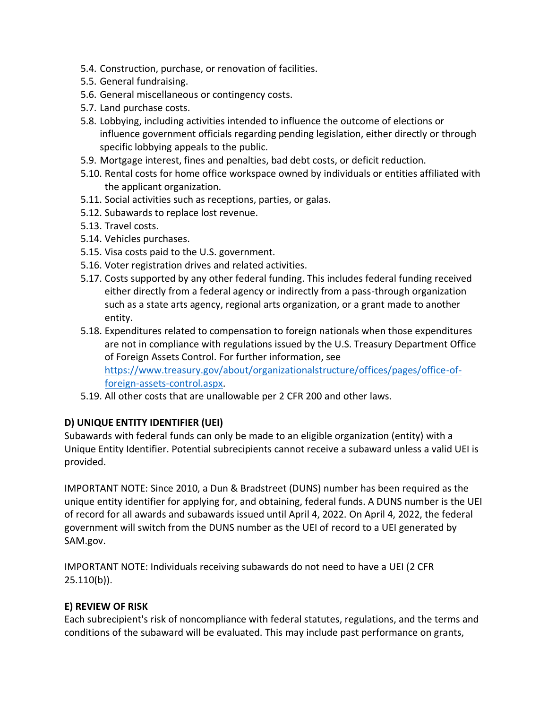- 5.4. Construction, purchase, or renovation of facilities.
- 5.5. General fundraising.
- 5.6. General miscellaneous or contingency costs.
- 5.7. Land purchase costs.
- 5.8. Lobbying, including activities intended to influence the outcome of elections or influence government officials regarding pending legislation, either directly or through specific lobbying appeals to the public.
- 5.9. Mortgage interest, fines and penalties, bad debt costs, or deficit reduction.
- 5.10. Rental costs for home office workspace owned by individuals or entities affiliated with the applicant organization.
- 5.11. Social activities such as receptions, parties, or galas.
- 5.12. Subawards to replace lost revenue.
- 5.13. Travel costs.
- 5.14. Vehicles purchases.
- 5.15. Visa costs paid to the U.S. government.
- 5.16. Voter registration drives and related activities.
- 5.17. Costs supported by any other federal funding. This includes federal funding received either directly from a federal agency or indirectly from a pass-through organization such as a state arts agency, regional arts organization, or a grant made to another entity.
- 5.18. Expenditures related to compensation to foreign nationals when those expenditures are not in compliance with regulations issued by the U.S. Treasury Department Office of Foreign Assets Control. For further information, see [https://www.treasury.gov/about/organizationalstructure/offices/pages/office-of](https://www.treasury.gov/about/organizationalstructure/offices/pages/office-of-foreign-assets-control.aspx)[foreign-assets-control.aspx.](https://www.treasury.gov/about/organizationalstructure/offices/pages/office-of-foreign-assets-control.aspx)
- 5.19. All other costs that are unallowable per 2 CFR 200 and other laws.

# **D) UNIQUE ENTITY IDENTIFIER (UEI)**

Subawards with federal funds can only be made to an eligible organization (entity) with a Unique Entity Identifier. Potential subrecipients cannot receive a subaward unless a valid UEI is provided.

IMPORTANT NOTE: Since 2010, a Dun & Bradstreet (DUNS) number has been required as the unique entity identifier for applying for, and obtaining, federal funds. A DUNS number is the UEI of record for all awards and subawards issued until April 4, 2022. On April 4, 2022, the federal government will switch from the DUNS number as the UEI of record to a UEI generated by SAM.gov.

IMPORTANT NOTE: Individuals receiving subawards do not need to have a UEI (2 CFR 25.110(b)).

# **E) REVIEW OF RISK**

Each subrecipient's risk of noncompliance with federal statutes, regulations, and the terms and conditions of the subaward will be evaluated. This may include past performance on grants,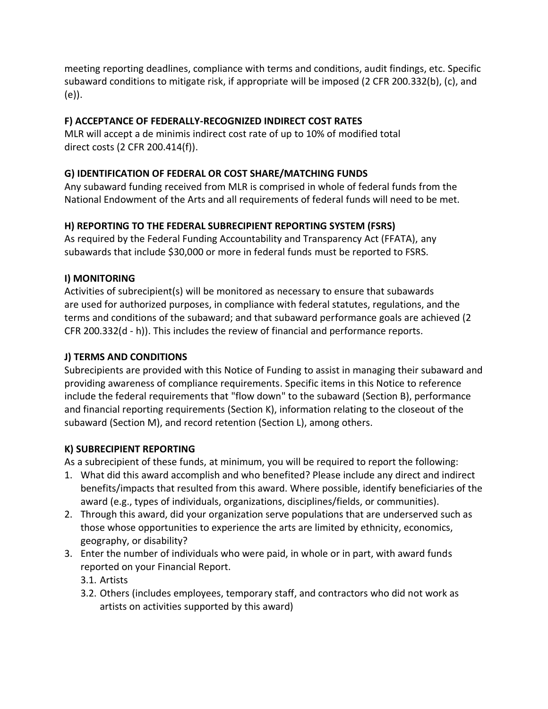meeting reporting deadlines, compliance with terms and conditions, audit findings, etc. Specific subaward conditions to mitigate risk, if appropriate will be imposed (2 CFR 200.332(b), (c), and (e)).

# **F) ACCEPTANCE OF FEDERALLY-RECOGNIZED INDIRECT COST RATES**

MLR will accept a de minimis indirect cost rate of up to 10% of modified total direct costs (2 CFR 200.414(f)).

# **G) IDENTIFICATION OF FEDERAL OR COST SHARE/MATCHING FUNDS**

Any subaward funding received from MLR is comprised in whole of federal funds from the National Endowment of the Arts and all requirements of federal funds will need to be met.

# **H) REPORTING TO THE FEDERAL SUBRECIPIENT REPORTING SYSTEM (FSRS)**

As required by the Federal Funding Accountability and Transparency Act (FFATA), any subawards that include \$30,000 or more in federal funds must be reported to FSRS.

# **I) MONITORING**

Activities of subrecipient(s) will be monitored as necessary to ensure that subawards are used for authorized purposes, in compliance with federal statutes, regulations, and the terms and conditions of the subaward; and that subaward performance goals are achieved (2 CFR 200.332(d - h)). This includes the review of financial and performance reports.

# **J) TERMS AND CONDITIONS**

Subrecipients are provided with this Notice of Funding to assist in managing their subaward and providing awareness of compliance requirements. Specific items in this Notice to reference include the federal requirements that "flow down" to the subaward (Section B), performance and financial reporting requirements (Section K), information relating to the closeout of the subaward (Section M), and record retention (Section L), among others.

# **K) SUBRECIPIENT REPORTING**

As a subrecipient of these funds, at minimum, you will be required to report the following:

- 1. What did this award accomplish and who benefited? Please include any direct and indirect benefits/impacts that resulted from this award. Where possible, identify beneficiaries of the award (e.g., types of individuals, organizations, disciplines/fields, or communities).
- 2. Through this award, did your organization serve populations that are underserved such as those whose opportunities to experience the arts are limited by ethnicity, economics, geography, or disability?
- 3. Enter the number of individuals who were paid, in whole or in part, with award funds reported on your Financial Report.
	- 3.1. Artists
	- 3.2. Others (includes employees, temporary staff, and contractors who did not work as artists on activities supported by this award)